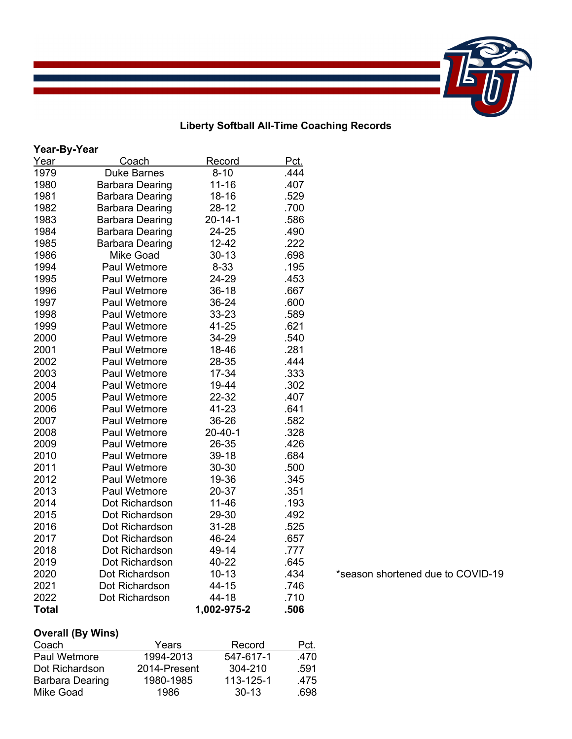## **Liberty Softball All-Time Coaching Records**

| Year-By-Year |                        |               |      |  |  |
|--------------|------------------------|---------------|------|--|--|
| Year         | Coach                  | Record        | Pct. |  |  |
| 1979         | <b>Duke Barnes</b>     | $8 - 10$      | .444 |  |  |
| 1980         | <b>Barbara Dearing</b> | $11 - 16$     | .407 |  |  |
| 1981         | <b>Barbara Dearing</b> | 18-16         | .529 |  |  |
| 1982         | <b>Barbara Dearing</b> | 28-12         | .700 |  |  |
| 1983         | <b>Barbara Dearing</b> | $20 - 14 - 1$ | .586 |  |  |
| 1984         | <b>Barbara Dearing</b> | 24-25         | .490 |  |  |
| 1985         | <b>Barbara Dearing</b> | 12-42         | .222 |  |  |
| 1986         | <b>Mike Goad</b>       | 30-13         | .698 |  |  |
| 1994         | <b>Paul Wetmore</b>    | 8-33          | .195 |  |  |
| 1995         | Paul Wetmore           | 24-29         | .453 |  |  |
| 1996         | <b>Paul Wetmore</b>    | 36-18         | .667 |  |  |
| 1997         | Paul Wetmore           | 36-24         | .600 |  |  |
| 1998         | <b>Paul Wetmore</b>    | 33-23         | .589 |  |  |
| 1999         | Paul Wetmore           | 41-25         | .621 |  |  |
| 2000         | <b>Paul Wetmore</b>    | 34-29         | .540 |  |  |
| 2001         | <b>Paul Wetmore</b>    | 18-46         | .281 |  |  |
| 2002         | <b>Paul Wetmore</b>    | 28-35         | .444 |  |  |
| 2003         | <b>Paul Wetmore</b>    | 17-34         | .333 |  |  |
| 2004         | <b>Paul Wetmore</b>    | 19-44         | .302 |  |  |
| 2005         | <b>Paul Wetmore</b>    | 22-32         | .407 |  |  |
| 2006         | Paul Wetmore           | 41-23         | .641 |  |  |
| 2007         | <b>Paul Wetmore</b>    | 36-26         | .582 |  |  |
| 2008         | Paul Wetmore           | $20 - 40 - 1$ | .328 |  |  |
| 2009         | <b>Paul Wetmore</b>    | 26-35         | .426 |  |  |
| 2010         | <b>Paul Wetmore</b>    | 39-18         | .684 |  |  |
| 2011         | <b>Paul Wetmore</b>    | 30-30         | .500 |  |  |
| 2012         | Paul Wetmore           | 19-36         | .345 |  |  |
| 2013         | <b>Paul Wetmore</b>    | 20-37         | .351 |  |  |
| 2014         | Dot Richardson         | $11 - 46$     | .193 |  |  |
| 2015         | Dot Richardson         | 29-30         | .492 |  |  |
| 2016         | Dot Richardson         | 31-28         | .525 |  |  |
| 2017         | Dot Richardson         | 46-24         | .657 |  |  |
| 2018         | Dot Richardson         | 49-14         | .777 |  |  |
| 2019         | Dot Richardson         | 40-22         | .645 |  |  |
| 2020         | Dot Richardson         | $10 - 13$     | .434 |  |  |
| 2021         | Dot Richardson         | 44-15         | .746 |  |  |
| 2022         | Dot Richardson         | 44-18         | .710 |  |  |
| <b>Total</b> |                        | 1,002-975-2   | .506 |  |  |

\*season shortened due to COVID-19

## **Overall (By Wins)**

| Coach                  | Years        | Record      | Pct. |
|------------------------|--------------|-------------|------|
| Paul Wetmore           | 1994-2013    | 547-617-1   | .470 |
| Dot Richardson         | 2014-Present | $304 - 210$ | .591 |
| <b>Barbara Dearing</b> | 1980-1985    | 113-125-1   | .475 |
| Mike Goad              | 1986         | $30-13$     | .698 |